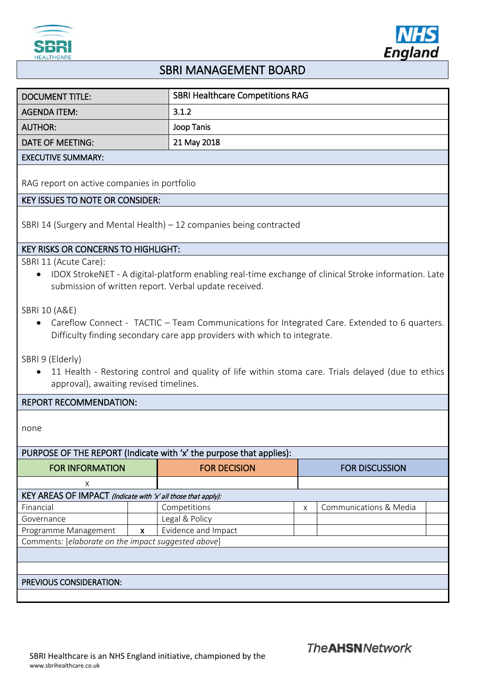



# SBRI MANAGEMENT BOARD

| DOCUMENT TITLE:           | <b>SBRI Healthcare Competitions RAG</b> |
|---------------------------|-----------------------------------------|
| <b>AGENDA ITEM:</b>       | 3.1.2                                   |
| AUTHOR:                   | Joop Tanis                              |
| DATE OF MEETING:          | 21 May 2018                             |
| <b>EXECUTIVE SUMMARY:</b> |                                         |

RAG report on active companies in portfolio

# KEY ISSUES TO NOTE OR CONSIDER:

SBRI 14 (Surgery and Mental Health) – 12 companies being contracted

## KEY RISKS OR CONCERNS TO HIGHLIGHT:

SBRI 11 (Acute Care):

• IDOX StrokeNET - A digital-platform enabling real-time exchange of clinical Stroke information. Late submission of written report. Verbal update received.

SBRI 10 (A&E)

• Careflow Connect - TACTIC – Team Communications for Integrated Care. Extended to 6 quarters. Difficulty finding secondary care app providers with which to integrate.

SBRI 9 (Elderly)

• 11 Health - Restoring control and quality of life within stoma care. Trials delayed (due to ethics approval), awaiting revised timelines.

### REPORT RECOMMENDATION:

none

# PURPOSE OF THE REPORT (Indicate with 'x' the purpose that applies):

| <b>FOR INFORMATION</b>                              |                                                                    | <b>FOR DECISION</b> | <b>FOR DISCUSSION</b> |                        |  |
|-----------------------------------------------------|--------------------------------------------------------------------|---------------------|-----------------------|------------------------|--|
| X                                                   |                                                                    |                     |                       |                        |  |
|                                                     | KEY AREAS OF IMPACT (Indicate with $\angle$ all those that apply): |                     |                       |                        |  |
| Financial                                           |                                                                    | Competitions        | X                     | Communications & Media |  |
| Governance                                          |                                                                    | Legal & Policy      |                       |                        |  |
| Programme Management                                | $\mathsf{x}$                                                       | Evidence and Impact |                       |                        |  |
| Comments: [elaborate on the impact suggested above] |                                                                    |                     |                       |                        |  |
|                                                     |                                                                    |                     |                       |                        |  |
|                                                     |                                                                    |                     |                       |                        |  |
| PREVIOUS CONSIDERATION:                             |                                                                    |                     |                       |                        |  |
|                                                     |                                                                    |                     |                       |                        |  |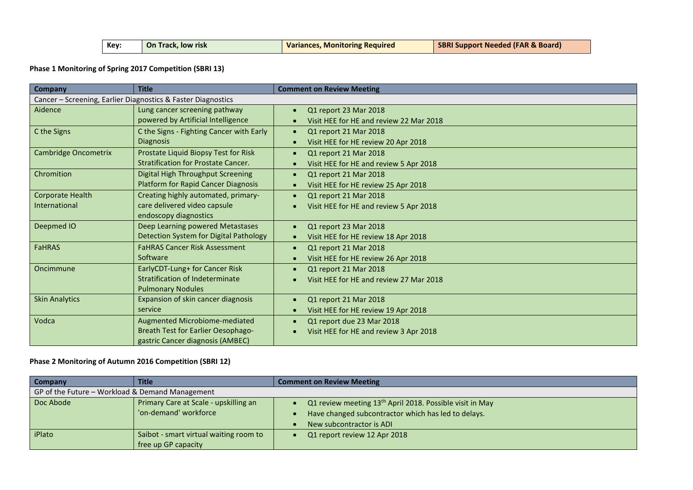| Kev: | <b>On Track, low risk</b> | <b>Variances, Monitoring Required</b> | <b>SBRI Support Needed (FAR &amp; Board)</b> |
|------|---------------------------|---------------------------------------|----------------------------------------------|
|      |                           |                                       |                                              |

**Phase 1 Monitoring of Spring 2017 Competition (SBRI 13)**

| <b>Company</b>                                               | <b>Title</b>                               | <b>Comment on Review Meeting</b>        |  |  |
|--------------------------------------------------------------|--------------------------------------------|-----------------------------------------|--|--|
| Cancer - Screening, Earlier Diagnostics & Faster Diagnostics |                                            |                                         |  |  |
| Aidence                                                      | Lung cancer screening pathway              | Q1 report 23 Mar 2018                   |  |  |
|                                                              | powered by Artificial Intelligence         | Visit HEE for HE and review 22 Mar 2018 |  |  |
| C the Signs                                                  | C the Signs - Fighting Cancer with Early   | Q1 report 21 Mar 2018<br>$\bullet$      |  |  |
|                                                              | <b>Diagnosis</b>                           | Visit HEE for HE review 20 Apr 2018     |  |  |
| <b>Cambridge Oncometrix</b>                                  | Prostate Liquid Biopsy Test for Risk       | Q1 report 21 Mar 2018                   |  |  |
|                                                              | <b>Stratification for Prostate Cancer.</b> | Visit HEE for HE and review 5 Apr 2018  |  |  |
| Chromition                                                   | Digital High Throughput Screening          | Q1 report 21 Mar 2018                   |  |  |
|                                                              | <b>Platform for Rapid Cancer Diagnosis</b> | Visit HEE for HE review 25 Apr 2018     |  |  |
| Corporate Health                                             | Creating highly automated, primary-        | Q1 report 21 Mar 2018                   |  |  |
| International                                                | care delivered video capsule               | Visit HEE for HE and review 5 Apr 2018  |  |  |
|                                                              | endoscopy diagnostics                      |                                         |  |  |
| Deepmed IO                                                   | Deep Learning powered Metastases           | Q1 report 23 Mar 2018                   |  |  |
|                                                              | Detection System for Digital Pathology     | Visit HEE for HE review 18 Apr 2018     |  |  |
| <b>FaHRAS</b>                                                | <b>FaHRAS Cancer Risk Assessment</b>       | Q1 report 21 Mar 2018                   |  |  |
|                                                              | Software                                   | Visit HEE for HE review 26 Apr 2018     |  |  |
| Oncimmune                                                    | EarlyCDT-Lung+ for Cancer Risk             | Q1 report 21 Mar 2018                   |  |  |
|                                                              | Stratification of Indeterminate            | Visit HEE for HE and review 27 Mar 2018 |  |  |
|                                                              | <b>Pulmonary Nodules</b>                   |                                         |  |  |
| <b>Skin Analytics</b>                                        | Expansion of skin cancer diagnosis         | Q1 report 21 Mar 2018                   |  |  |
|                                                              | service                                    | Visit HEE for HE review 19 Apr 2018     |  |  |
| Vodca                                                        | Augmented Microbiome-mediated              | Q1 report due 23 Mar 2018               |  |  |
|                                                              | <b>Breath Test for Earlier Oesophago-</b>  | Visit HEE for HE and review 3 Apr 2018  |  |  |
|                                                              | gastric Cancer diagnosis (AMBEC)           |                                         |  |  |

#### **Phase 2 Monitoring of Autumn 2016 Competition (SBRI 12)**

| <b>Company</b>                                  | <b>Title</b>                           | <b>Comment on Review Meeting</b>                                     |  |
|-------------------------------------------------|----------------------------------------|----------------------------------------------------------------------|--|
| GP of the Future - Workload & Demand Management |                                        |                                                                      |  |
| Doc Abode                                       | Primary Care at Scale - upskilling an  | Q1 review meeting 13 <sup>th</sup> April 2018. Possible visit in May |  |
|                                                 | 'on-demand' workforce                  | Have changed subcontractor which has led to delays.<br>$\bullet$     |  |
|                                                 |                                        | New subcontractor is ADI                                             |  |
| iPlato                                          | Saibot - smart virtual waiting room to | Q1 report review 12 Apr 2018                                         |  |
|                                                 | free up GP capacity                    |                                                                      |  |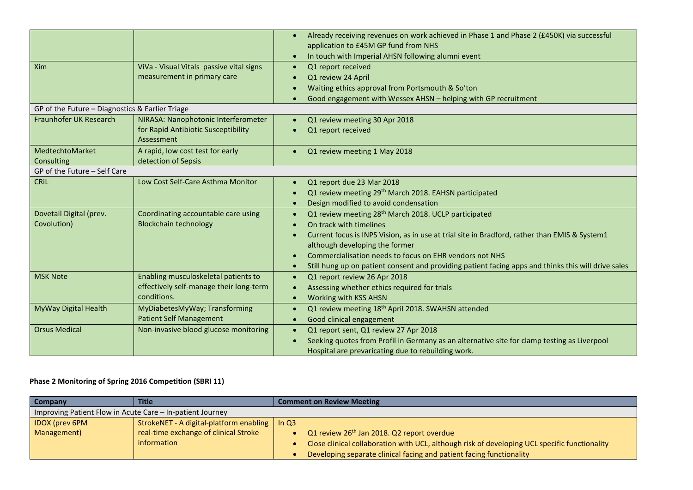|                                                 |                                          | Already receiving revenues on work achieved in Phase 1 and Phase 2 (£450K) via successful<br>$\bullet$<br>application to £45M GP fund from NHS |
|-------------------------------------------------|------------------------------------------|------------------------------------------------------------------------------------------------------------------------------------------------|
|                                                 |                                          | In touch with Imperial AHSN following alumni event<br>$\bullet$                                                                                |
| Xim                                             | ViVa - Visual Vitals passive vital signs | Q1 report received<br>$\bullet$                                                                                                                |
|                                                 | measurement in primary care              | Q1 review 24 April<br>$\bullet$                                                                                                                |
|                                                 |                                          | Waiting ethics approval from Portsmouth & So'ton                                                                                               |
|                                                 |                                          | Good engagement with Wessex AHSN - helping with GP recruitment                                                                                 |
| GP of the Future - Diagnostics & Earlier Triage |                                          |                                                                                                                                                |
| Fraunhofer UK Research                          | NIRASA: Nanophotonic Interferometer      | Q1 review meeting 30 Apr 2018                                                                                                                  |
|                                                 | for Rapid Antibiotic Susceptibility      | Q1 report received                                                                                                                             |
|                                                 | Assessment                               |                                                                                                                                                |
| MedtechtoMarket                                 | A rapid, low cost test for early         | Q1 review meeting 1 May 2018                                                                                                                   |
| Consulting                                      | detection of Sepsis                      |                                                                                                                                                |
| GP of the Future - Self Care                    |                                          |                                                                                                                                                |
| <b>CRIL</b>                                     | Low Cost Self-Care Asthma Monitor        | Q1 report due 23 Mar 2018                                                                                                                      |
|                                                 |                                          | Q1 review meeting 29 <sup>th</sup> March 2018. EAHSN participated                                                                              |
|                                                 |                                          | Design modified to avoid condensation<br>$\bullet$                                                                                             |
| Dovetail Digital (prev.                         | Coordinating accountable care using      | Q1 review meeting 28 <sup>th</sup> March 2018. UCLP participated<br>$\bullet$                                                                  |
| Covolution)                                     | <b>Blockchain technology</b>             | On track with timelines<br>$\bullet$                                                                                                           |
|                                                 |                                          | Current focus is INPS Vision, as in use at trial site in Bradford, rather than EMIS & System1<br>$\bullet$                                     |
|                                                 |                                          | although developing the former                                                                                                                 |
|                                                 |                                          | Commercialisation needs to focus on EHR vendors not NHS                                                                                        |
|                                                 |                                          | Still hung up on patient consent and providing patient facing apps and thinks this will drive sales<br>$\bullet$                               |
| <b>MSK Note</b>                                 | Enabling musculoskeletal patients to     | Q1 report review 26 Apr 2018<br>$\bullet$                                                                                                      |
|                                                 | effectively self-manage their long-term  | Assessing whether ethics required for trials<br>$\bullet$                                                                                      |
|                                                 | conditions.                              | Working with KSS AHSN<br>$\bullet$                                                                                                             |
| MyWay Digital Health                            | MyDiabetesMyWay; Transforming            | Q1 review meeting 18 <sup>th</sup> April 2018. SWAHSN attended<br>$\bullet$                                                                    |
|                                                 | <b>Patient Self Management</b>           | Good clinical engagement<br>$\bullet$                                                                                                          |
| <b>Orsus Medical</b>                            | Non-invasive blood glucose monitoring    | Q1 report sent, Q1 review 27 Apr 2018<br>$\bullet$                                                                                             |
|                                                 |                                          | Seeking quotes from Profil in Germany as an alternative site for clamp testing as Liverpool<br>$\bullet$                                       |
|                                                 |                                          | Hospital are prevaricating due to rebuilding work.                                                                                             |

## **Phase 2 Monitoring of Spring 2016 Competition (SBRI 11)**

| <b>Company</b>                                            | <b>Title</b>                                              | <b>Comment on Review Meeting</b> |                                                                                               |
|-----------------------------------------------------------|-----------------------------------------------------------|----------------------------------|-----------------------------------------------------------------------------------------------|
| Improving Patient Flow in Acute Care – In-patient Journey |                                                           |                                  |                                                                                               |
| <b>IDOX</b> (prev 6PM                                     | StrokeNET - A digital-platform enabling $\parallel$ In Q3 |                                  |                                                                                               |
| Management)                                               | real-time exchange of clinical Stroke                     |                                  | Q1 review 26 <sup>th</sup> Jan 2018. Q2 report overdue                                        |
|                                                           | information                                               |                                  | Close clinical collaboration with UCL, although risk of developing UCL specific functionality |
|                                                           |                                                           |                                  | Developing separate clinical facing and patient facing functionality                          |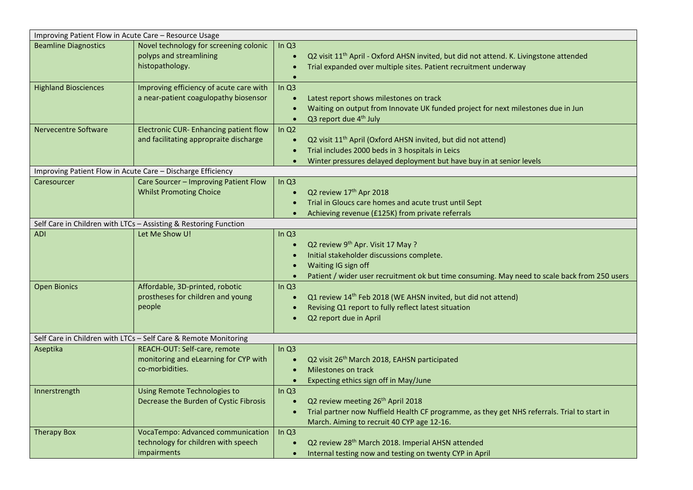| Improving Patient Flow in Acute Care - Resource Usage |                                                                        |                        |                                                                                                    |  |
|-------------------------------------------------------|------------------------------------------------------------------------|------------------------|----------------------------------------------------------------------------------------------------|--|
| <b>Beamline Diagnostics</b>                           | Novel technology for screening colonic<br>polyps and streamlining      | In $Q3$<br>$\bullet$   | Q2 visit 11 <sup>th</sup> April - Oxford AHSN invited, but did not attend. K. Livingstone attended |  |
|                                                       | histopathology.                                                        | $\bullet$              | Trial expanded over multiple sites. Patient recruitment underway                                   |  |
|                                                       |                                                                        |                        |                                                                                                    |  |
| <b>Highland Biosciences</b>                           | Improving efficiency of acute care with                                | In $Q3$                |                                                                                                    |  |
|                                                       | a near-patient coagulopathy biosensor                                  | $\bullet$              | Latest report shows milestones on track                                                            |  |
|                                                       |                                                                        | $\bullet$              | Waiting on output from Innovate UK funded project for next milestones due in Jun                   |  |
|                                                       |                                                                        | $\bullet$              | Q3 report due 4 <sup>th</sup> July                                                                 |  |
| <b>Nervecentre Software</b>                           | Electronic CUR- Enhancing patient flow                                 | In $Q2$                |                                                                                                    |  |
|                                                       | and facilitating appropraite discharge                                 | $\bullet$              | Q2 visit 11 <sup>th</sup> April (Oxford AHSN invited, but did not attend)                          |  |
|                                                       |                                                                        | $\bullet$              | Trial includes 2000 beds in 3 hospitals in Leics                                                   |  |
|                                                       |                                                                        | $\bullet$              | Winter pressures delayed deployment but have buy in at senior levels                               |  |
|                                                       | Improving Patient Flow in Acute Care - Discharge Efficiency            |                        |                                                                                                    |  |
| Caresourcer                                           | Care Sourcer - Improving Patient Flow                                  | In $Q3$                |                                                                                                    |  |
|                                                       | <b>Whilst Promoting Choice</b>                                         | $\bullet$<br>$\bullet$ | Q2 review 17th Apr 2018<br>Trial in Gloucs care homes and acute trust until Sept                   |  |
|                                                       |                                                                        |                        | Achieving revenue (£125K) from private referrals                                                   |  |
|                                                       | Self Care in Children with LTCs - Assisting & Restoring Function       |                        |                                                                                                    |  |
| ADI                                                   | Let Me Show U!                                                         | In $Q3$                |                                                                                                    |  |
|                                                       |                                                                        | $\bullet$              | Q2 review 9 <sup>th</sup> Apr. Visit 17 May ?                                                      |  |
|                                                       |                                                                        | $\bullet$              | Initial stakeholder discussions complete.                                                          |  |
|                                                       |                                                                        | $\bullet$              | Waiting IG sign off                                                                                |  |
|                                                       |                                                                        | $\bullet$              | Patient / wider user recruitment ok but time consuming. May need to scale back from 250 users      |  |
| <b>Open Bionics</b>                                   | Affordable, 3D-printed, robotic                                        | In $Q3$                |                                                                                                    |  |
|                                                       | prostheses for children and young                                      | $\bullet$              | Q1 review 14 <sup>th</sup> Feb 2018 (WE AHSN invited, but did not attend)                          |  |
|                                                       | people                                                                 | $\bullet$              | Revising Q1 report to fully reflect latest situation                                               |  |
|                                                       |                                                                        |                        | Q2 report due in April                                                                             |  |
|                                                       |                                                                        |                        |                                                                                                    |  |
|                                                       | Self Care in Children with LTCs - Self Care & Remote Monitoring        |                        |                                                                                                    |  |
| Aseptika                                              | REACH-OUT: Self-care, remote                                           | In $Q3$                |                                                                                                    |  |
|                                                       | monitoring and eLearning for CYP with<br>co-morbidities.               | $\bullet$              | Q2 visit 26th March 2018, EAHSN participated                                                       |  |
|                                                       |                                                                        | $\bullet$              | Milestones on track                                                                                |  |
|                                                       |                                                                        | $\bullet$              | Expecting ethics sign off in May/June                                                              |  |
| Innerstrength                                         | Using Remote Technologies to<br>Decrease the Burden of Cystic Fibrosis | In $Q3$<br>$\bullet$   | Q2 review meeting 26 <sup>th</sup> April 2018                                                      |  |
|                                                       |                                                                        | $\bullet$              | Trial partner now Nuffield Health CF programme, as they get NHS referrals. Trial to start in       |  |
|                                                       |                                                                        |                        | March. Aiming to recruit 40 CYP age 12-16.                                                         |  |
| <b>Therapy Box</b>                                    | VocaTempo: Advanced communication                                      | In $Q3$                |                                                                                                    |  |
|                                                       | technology for children with speech                                    | $\bullet$              | Q2 review 28th March 2018. Imperial AHSN attended                                                  |  |
|                                                       | impairments                                                            | $\bullet$              | Internal testing now and testing on twenty CYP in April                                            |  |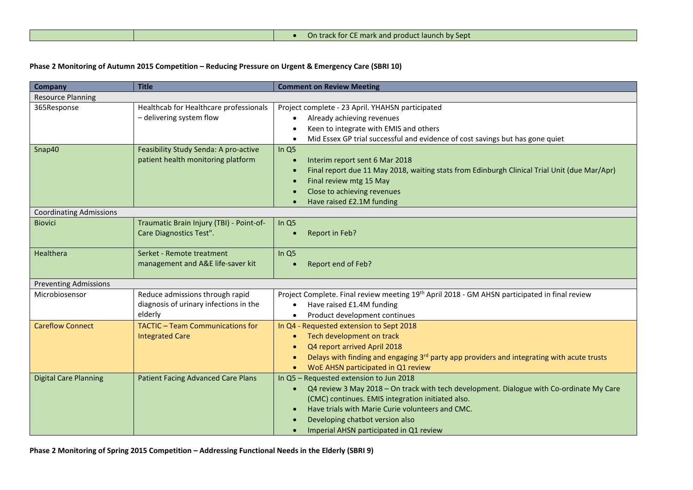#### **Phase 2 Monitoring of Autumn 2015 Competition – Reducing Pressure on Urgent & Emergency Care (SBRI 10)**

| <b>Company</b>                 | <b>Title</b>                                                                         | <b>Comment on Review Meeting</b>                                                                                                                                                                                                                                                                                           |
|--------------------------------|--------------------------------------------------------------------------------------|----------------------------------------------------------------------------------------------------------------------------------------------------------------------------------------------------------------------------------------------------------------------------------------------------------------------------|
| <b>Resource Planning</b>       |                                                                                      |                                                                                                                                                                                                                                                                                                                            |
| 365Response                    | Healthcab for Healthcare professionals<br>- delivering system flow                   | Project complete - 23 April. YHAHSN participated<br>Already achieving revenues<br>Keen to integrate with EMIS and others<br>Mid Essex GP trial successful and evidence of cost savings but has gone quiet                                                                                                                  |
| Snap40                         | Feasibility Study Senda: A pro-active<br>patient health monitoring platform          | In Q5<br>Interim report sent 6 Mar 2018<br>Final report due 11 May 2018, waiting stats from Edinburgh Clinical Trial Unit (due Mar/Apr)<br>Final review mtg 15 May<br>Close to achieving revenues<br>Have raised £2.1M funding                                                                                             |
| <b>Coordinating Admissions</b> |                                                                                      |                                                                                                                                                                                                                                                                                                                            |
| <b>Biovici</b>                 | Traumatic Brain Injury (TBI) - Point-of-<br>Care Diagnostics Test".                  | In Q5<br>Report in Feb?                                                                                                                                                                                                                                                                                                    |
| Healthera                      | Serket - Remote treatment<br>management and A&E life-saver kit                       | In Q5<br>Report end of Feb?                                                                                                                                                                                                                                                                                                |
| <b>Preventing Admissions</b>   |                                                                                      |                                                                                                                                                                                                                                                                                                                            |
| Microbiosensor                 | Reduce admissions through rapid<br>diagnosis of urinary infections in the<br>elderly | Project Complete. Final review meeting 19 <sup>th</sup> April 2018 - GM AHSN participated in final review<br>Have raised £1.4M funding<br>Product development continues                                                                                                                                                    |
| <b>Careflow Connect</b>        | <b>TACTIC - Team Communications for</b><br><b>Integrated Care</b>                    | In Q4 - Requested extension to Sept 2018<br>Tech development on track<br>Q4 report arrived April 2018<br>Delays with finding and engaging $3rd$ party app providers and integrating with acute trusts<br>WoE AHSN participated in Q1 review<br>$\bullet$                                                                   |
| <b>Digital Care Planning</b>   | <b>Patient Facing Advanced Care Plans</b>                                            | In Q5 - Requested extension to Jun 2018<br>Q4 review 3 May 2018 - On track with tech development. Dialogue with Co-ordinate My Care<br>(CMC) continues. EMIS integration initiated also.<br>Have trials with Marie Curie volunteers and CMC.<br>Developing chatbot version also<br>Imperial AHSN participated in Q1 review |

**Phase 2 Monitoring of Spring 2015 Competition – Addressing Functional Needs in the Elderly (SBRI 9)**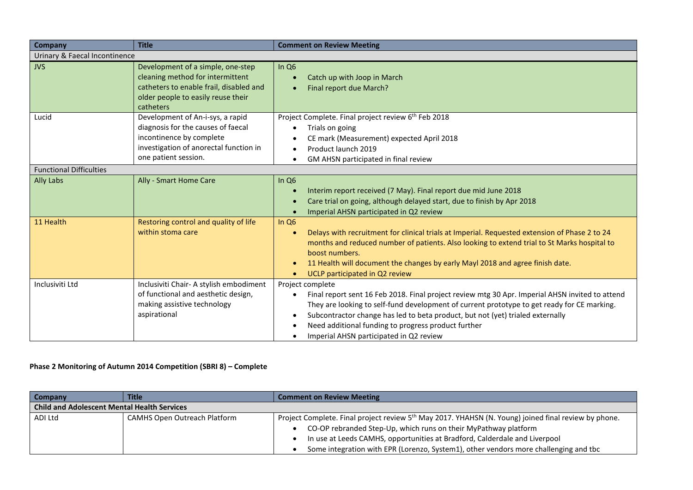| <b>Company</b>                 | <b>Title</b>                                                                                                                                                         | <b>Comment on Review Meeting</b>                                                                                                                                                                                                                                                                                                                                                                                                 |  |  |
|--------------------------------|----------------------------------------------------------------------------------------------------------------------------------------------------------------------|----------------------------------------------------------------------------------------------------------------------------------------------------------------------------------------------------------------------------------------------------------------------------------------------------------------------------------------------------------------------------------------------------------------------------------|--|--|
| Urinary & Faecal Incontinence  |                                                                                                                                                                      |                                                                                                                                                                                                                                                                                                                                                                                                                                  |  |  |
| <b>JVS</b>                     | Development of a simple, one-step<br>cleaning method for intermittent<br>catheters to enable frail, disabled and<br>older people to easily reuse their<br>catheters  | In $Q6$<br>Catch up with Joop in March<br>Final report due March?<br>$\bullet$                                                                                                                                                                                                                                                                                                                                                   |  |  |
| Lucid                          | Development of An-i-sys, a rapid<br>diagnosis for the causes of faecal<br>incontinence by complete<br>investigation of anorectal function in<br>one patient session. | Project Complete. Final project review 6 <sup>th</sup> Feb 2018<br>Trials on going<br>٠<br>CE mark (Measurement) expected April 2018<br>Product launch 2019<br>٠<br>GM AHSN participated in final review<br>$\bullet$                                                                                                                                                                                                            |  |  |
| <b>Functional Difficulties</b> |                                                                                                                                                                      |                                                                                                                                                                                                                                                                                                                                                                                                                                  |  |  |
| <b>Ally Labs</b>               | Ally - Smart Home Care                                                                                                                                               | In Q <sub>6</sub><br>Interim report received (7 May). Final report due mid June 2018<br>Care trial on going, although delayed start, due to finish by Apr 2018<br>$\bullet$<br>Imperial AHSN participated in Q2 review                                                                                                                                                                                                           |  |  |
| 11 Health                      | Restoring control and quality of life<br>within stoma care                                                                                                           | In $Q6$<br>Delays with recruitment for clinical trials at Imperial. Requested extension of Phase 2 to 24<br>$\bullet$<br>months and reduced number of patients. Also looking to extend trial to St Marks hospital to<br>boost numbers.<br>11 Health will document the changes by early Mayl 2018 and agree finish date.<br>$\bullet$<br>UCLP participated in Q2 review<br>$\bullet$                                              |  |  |
| Inclusiviti Ltd                | Inclusiviti Chair- A stylish embodiment<br>of functional and aesthetic design,<br>making assistive technology<br>aspirational                                        | Project complete<br>Final report sent 16 Feb 2018. Final project review mtg 30 Apr. Imperial AHSN invited to attend<br>$\bullet$<br>They are looking to self-fund development of current prototype to get ready for CE marking.<br>Subcontractor change has led to beta product, but not (yet) trialed externally<br>$\bullet$<br>Need additional funding to progress product further<br>Imperial AHSN participated in Q2 review |  |  |

### **Phase 2 Monitoring of Autumn 2014 Competition (SBRI 8) – Complete**

| <b>Company</b>                                     | <b>Title</b>                        | <b>Comment on Review Meeting</b>                                                                                 |
|----------------------------------------------------|-------------------------------------|------------------------------------------------------------------------------------------------------------------|
| <b>Child and Adolescent Mental Health Services</b> |                                     |                                                                                                                  |
| ADI Ltd                                            | <b>CAMHS Open Outreach Platform</b> | Project Complete. Final project review 5 <sup>th</sup> May 2017. YHAHSN (N. Young) joined final review by phone. |
|                                                    |                                     | CO-OP rebranded Step-Up, which runs on their MyPathway platform                                                  |
|                                                    |                                     | In use at Leeds CAMHS, opportunities at Bradford, Calderdale and Liverpool                                       |
|                                                    |                                     | Some integration with EPR (Lorenzo, System1), other vendors more challenging and tbc                             |